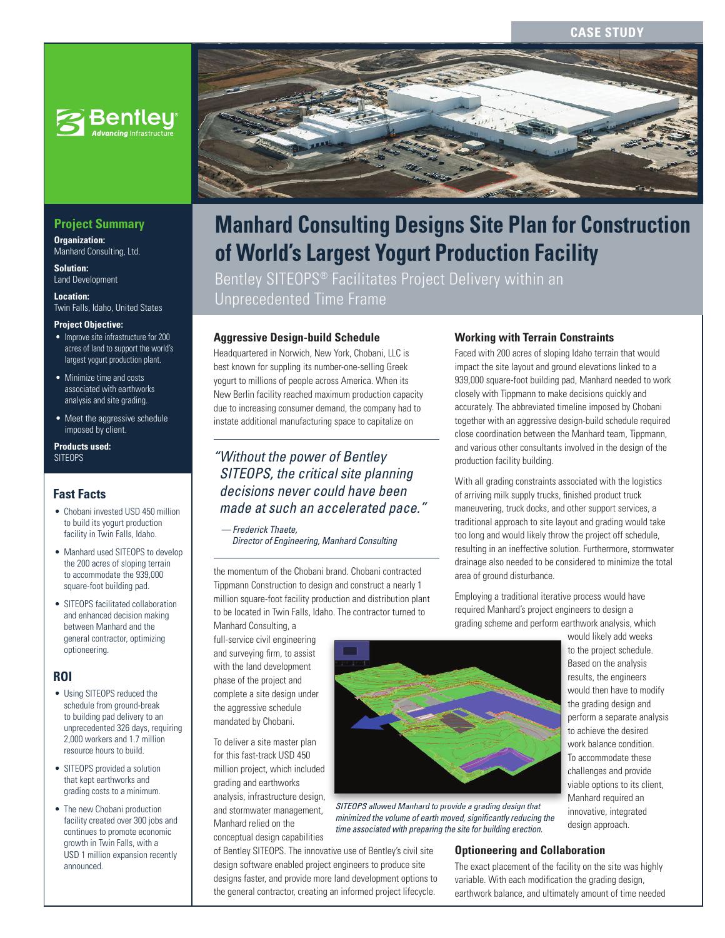#### **CASE STUD**



### **Project Summary**

**Organization:**  Manhard Consulting, Ltd.

**Solution:**  Land Development

**Location:**  Twin Falls, Idaho, United States

#### **Project Objective:**

- Improve site infrastructure for 200 acres of land to support the world's largest yogurt production plant.
- Minimize time and costs associated with earthworks analysis and site grading.
- Meet the aggressive schedule imposed by client.

#### **Products used:** SITEOPS

#### **Fast Facts**

- Chobani invested USD 450 million to build its yogurt production facility in Twin Falls, Idaho.
- Manhard used SITEOPS to develop the 200 acres of sloping terrain to accommodate the 939,000 square-foot building pad.
- SITEOPS facilitated collaboration and enhanced decision making between Manhard and the general contractor, optimizing optioneering.

#### **ROI**

- Using SITEOPS reduced the schedule from ground-break to building pad delivery to an unprecedented 326 days, requiring 2,000 workers and 1.7 million resource hours to build.
- SITEOPS provided a solution that kept earthworks and grading costs to a minimum.
- The new Chobani production facility created over 300 jobs and continues to promote economic growth in Twin Falls, with a USD 1 million expansion recently announced.



# **Manhard Consulting Designs Site Plan for Construction of World's Largest Yogurt Production Facility**

Bentley SITEOPS® Facilitates Project Delivery within an Unprecedented Time Frame

#### **Aggressive Design-build Schedule**

Headquartered in Norwich, New York, Chobani, LLC is best known for suppling its number-one-selling Greek yogurt to millions of people across America. When its New Berlin facility reached maximum production capacity due to increasing consumer demand, the company had to instate additional manufacturing space to capitalize on

# *SITEOPS, the critical site planning decisions never could have been made at such an accelerated pace."*

 *— Frederick Thaete, Director of Engineering, Manhard Consulting*

the momentum of the Chobani brand. Chobani contracted Tippmann Construction to design and construct a nearly 1 million square-foot facility production and distribution plant to be located in Twin Falls, Idaho. The contractor turned to

Manhard Consulting, a full-service civil engineering and surveying firm, to assist with the land development phase of the project and complete a site design under the aggressive schedule mandated by Chobani.

To deliver a site master plan for this fast-track USD 450 million project, which included grading and earthworks analysis, infrastructure design,

and stormwater management, Manhard relied on the conceptual design capabilities

of Bentley SITEOPS. The innovative use of Bentley's civil site design software enabled project engineers to produce site designs faster, and provide more land development options to the general contractor, creating an informed project lifecycle.



Faced with 200 acres of sloping Idaho terrain that would impact the site layout and ground elevations linked to a 939,000 square-foot building pad, Manhard needed to work closely with Tippmann to make decisions quickly and accurately. The abbreviated timeline imposed by Chobani together with an aggressive design-build schedule required close coordination between the Manhard team, Tippmann, and various other consultants involved in the design of the production facility building.

With all grading constraints associated with the logistics of arriving milk supply trucks, finished product truck maneuvering, truck docks, and other support services, a traditional approach to site layout and grading would take too long and would likely throw the project off schedule, resulting in an ineffective solution. Furthermore, stormwater drainage also needed to be considered to minimize the total area of ground disturbance.

Employing a traditional iterative process would have required Manhard's project engineers to design a grading scheme and perform earthwork analysis, which



*SITEOPS allowed Manhard to provide a grading design that*  minimized the volume of earth moved, significantly reducing the *time associated with preparing the site for building erection.*

#### would likely add weeks to the project schedule. Based on the analysis results, the engineers would then have to modify the grading design and perform a separate analysis to achieve the desired work balance condition. To accommodate these challenges and provide viable options to its client, Manhard required an innovative, integrated design approach.

#### **Optioneering and Collaboration**

The exact placement of the facility on the site was highly variable. With each modification the grading design, earthwork balance, and ultimately amount of time needed